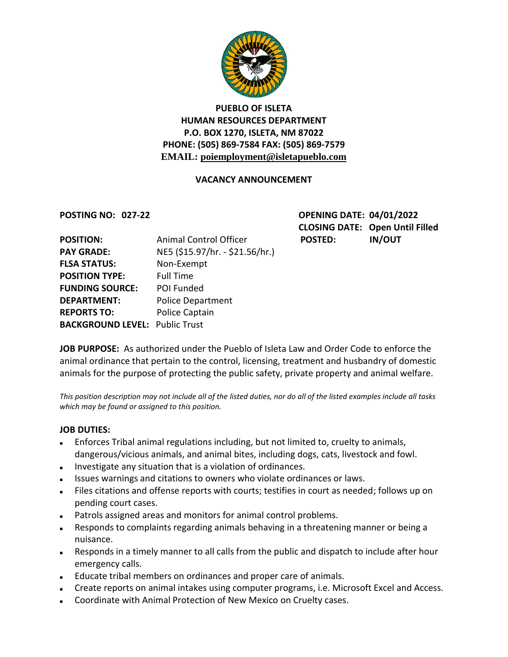

# **PUEBLO OF ISLETA HUMAN RESOURCES DEPARTMENT P.O. BOX 1270, ISLETA, NM 87022 PHONE: (505) 869-7584 FAX: (505) 869-7579 EMAIL: poiemployment@isletapueblo.com**

### **VACANCY ANNOUNCEMENT**

**POSTING NO: 027-22 OPENING DATE: 04/01/2022 CLOSING DATE: Open Until Filled**

| <b>POSITION:</b>                      | Animal Control Officer          | <b>POSTED:</b> | <b>IN/OUT</b> |
|---------------------------------------|---------------------------------|----------------|---------------|
| <b>PAY GRADE:</b>                     | NE5 (\$15.97/hr. - \$21.56/hr.) |                |               |
| <b>FLSA STATUS:</b>                   | Non-Exempt                      |                |               |
| <b>POSITION TYPE:</b>                 | <b>Full Time</b>                |                |               |
| <b>FUNDING SOURCE:</b>                | POI Funded                      |                |               |
| <b>DEPARTMENT:</b>                    | <b>Police Department</b>        |                |               |
| <b>REPORTS TO:</b>                    | Police Captain                  |                |               |
| <b>BACKGROUND LEVEL: Public Trust</b> |                                 |                |               |

**JOB PURPOSE:** As authorized under the Pueblo of Isleta Law and Order Code to enforce the animal ordinance that pertain to the control, licensing, treatment and husbandry of domestic animals for the purpose of protecting the public safety, private property and animal welfare.

*This position description may not include all of the listed duties, nor do all of the listed examples include all tasks which may be found or assigned to this position.*

#### **JOB DUTIES:**

- Enforces Tribal animal regulations including, but not limited to, cruelty to animals, dangerous/vicious animals, and animal bites, including dogs, cats, livestock and fowl.
- Investigate any situation that is a violation of ordinances.
- Issues warnings and citations to owners who violate ordinances or laws.
- Files citations and offense reports with courts; testifies in court as needed; follows up on pending court cases.
- Patrols assigned areas and monitors for animal control problems.
- Responds to complaints regarding animals behaving in a threatening manner or being a nuisance.
- Responds in a timely manner to all calls from the public and dispatch to include after hour emergency calls.
- Educate tribal members on ordinances and proper care of animals.
- **EXECT** Create reports on animal intakes using computer programs, i.e. Microsoft Excel and Access.
- Coordinate with Animal Protection of New Mexico on Cruelty cases.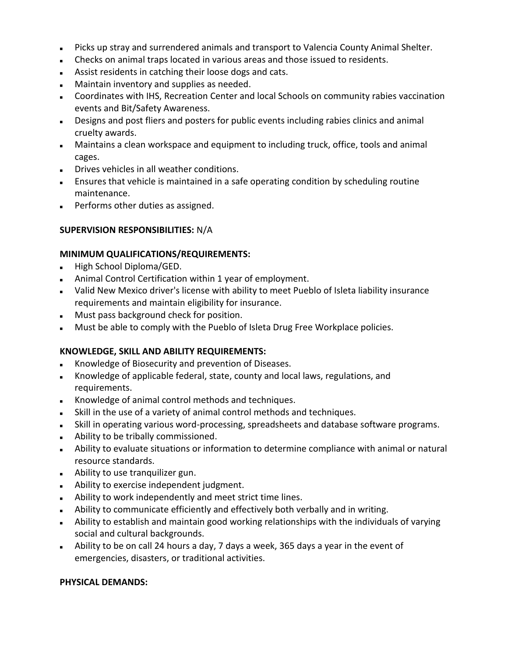- Picks up stray and surrendered animals and transport to Valencia County Animal Shelter.
- Checks on animal traps located in various areas and those issued to residents.
- Assist residents in catching their loose dogs and cats.
- **Maintain inventory and supplies as needed.**
- Coordinates with IHS, Recreation Center and local Schools on community rabies vaccination events and Bit/Safety Awareness.
- Designs and post fliers and posters for public events including rabies clinics and animal cruelty awards.
- Maintains a clean workspace and equipment to including truck, office, tools and animal cages.
- Drives vehicles in all weather conditions.
- Ensures that vehicle is maintained in a safe operating condition by scheduling routine maintenance.
- **Performs other duties as assigned.**

#### **SUPERVISION RESPONSIBILITIES:** N/A

#### **MINIMUM QUALIFICATIONS/REQUIREMENTS:**

- High School Diploma/GED.
- Animal Control Certification within 1 year of employment.
- Valid New Mexico driver's license with ability to meet Pueblo of Isleta liability insurance requirements and maintain eligibility for insurance.
- **Must pass background check for position.**
- **Must be able to comply with the Pueblo of Isleta Drug Free Workplace policies.**

#### **KNOWLEDGE, SKILL AND ABILITY REQUIREMENTS:**

- Knowledge of Biosecurity and prevention of Diseases.
- Knowledge of applicable federal, state, county and local laws, regulations, and requirements.
- Knowledge of animal control methods and techniques.
- Skill in the use of a variety of animal control methods and techniques.
- Skill in operating various word-processing, spreadsheets and database software programs.
- Ability to be tribally commissioned.
- Ability to evaluate situations or information to determine compliance with animal or natural resource standards.
- Ability to use tranquilizer gun.
- **Ability to exercise independent judgment.**
- Ability to work independently and meet strict time lines.
- Ability to communicate efficiently and effectively both verbally and in writing.
- Ability to establish and maintain good working relationships with the individuals of varying social and cultural backgrounds.
- Ability to be on call 24 hours a day, 7 days a week, 365 days a year in the event of emergencies, disasters, or traditional activities.

#### **PHYSICAL DEMANDS:**